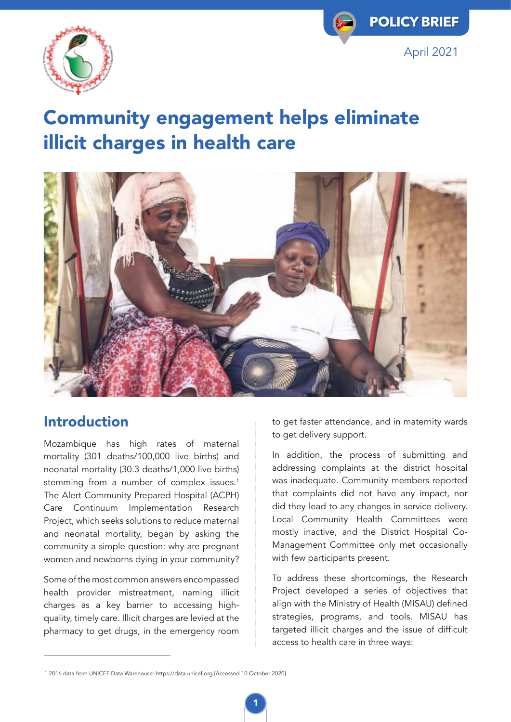



# Community engagement helps eliminate illicit charges in health care



#### Introduction

Mozambique has high rates of maternal mortality (301 deaths/100,000 live births) and neonatal mortality (30.3 deaths/1,000 live births) stemming from a number of complex issues.<sup>1</sup> The Alert Community Prepared Hospital (ACPH) Care Continuum Implementation Research Project, which seeks solutions to reduce maternal and neonatal mortality, began by asking the community a simple question: why are pregnant women and newborns dying in your community?

Some of the most common answers encompassed health provider mistreatment, naming illicit charges as a key barrier to accessing highquality, timely care. Illicit charges are levied at the pharmacy to get drugs, in the emergency room

to get faster attendance, and in maternity wards to get delivery support.

In addition, the process of submitting and addressing complaints at the district hospital was inadequate. Community members reported that complaints did not have any impact, nor did they lead to any changes in service delivery. Local Community Health Committees were mostly inactive, and the District Hospital Co-Management Committee only met occasionally with few participants present.

To address these shortcomings, the Research Project developed a series of objectives that align with the Ministry of Health (MISAU) defined strategies, programs, and tools. MISAU has targeted illicit charges and the issue of difficult access to health care in three ways:

<sup>1 2016</sup> data from UNICEF Data Warehouse: https://data.unicef.org [Accessed 10 October 2020]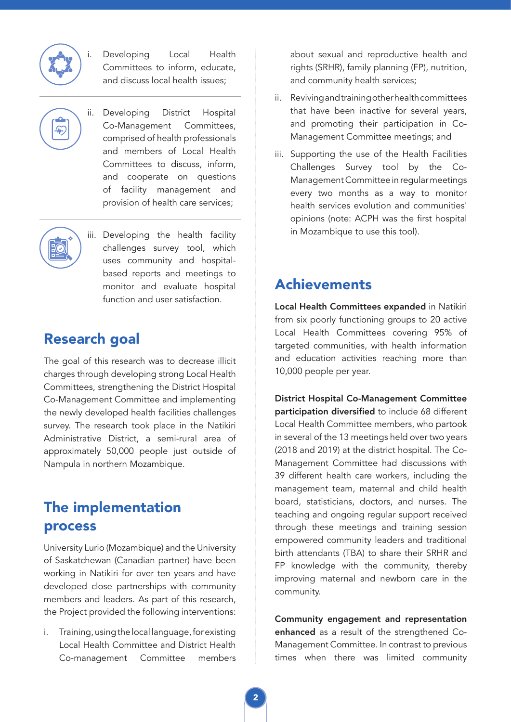

Developing Local Health Committees to inform, educate, and discuss local health issues;

- $\mathcal{F}$ 
	- ii. Developing District Hospital Co-Management Committees, comprised of health professionals and members of Local Health Committees to discuss, inform, and cooperate on questions of facility management and provision of health care services;
- 

iii. Developing the health facility challenges survey tool, which uses community and hospitalbased reports and meetings to monitor and evaluate hospital function and user satisfaction.

#### Research goal

The goal of this research was to decrease illicit charges through developing strong Local Health Committees, strengthening the District Hospital Co-Management Committee and implementing the newly developed health facilities challenges survey. The research took place in the Natikiri Administrative District, a semi-rural area of approximately 50,000 people just outside of Nampula in northern Mozambique.

#### The implementation process

University Lurio (Mozambique) and the University of Saskatchewan (Canadian partner) have been working in Natikiri for over ten years and have developed close partnerships with community members and leaders. As part of this research, the Project provided the following interventions:

i. Training, using the local language, for existing Local Health Committee and District Health Co-management Committee members about sexual and reproductive health and rights (SRHR), family planning (FP), nutrition, and community health services;

- ii. Reviving and training other health committees that have been inactive for several years, and promoting their participation in Co-Management Committee meetings; and
- iii. Supporting the use of the Health Facilities Challenges Survey tool by the Co-Management Committee in regular meetings every two months as a way to monitor health services evolution and communities' opinions (note: ACPH was the first hospital in Mozambique to use this tool).

#### Achievements

Local Health Committees expanded in Natikiri from six poorly functioning groups to 20 active Local Health Committees covering 95% of targeted communities, with health information and education activities reaching more than 10,000 people per year.

District Hospital Co-Management Committee participation diversified to include 68 different Local Health Committee members, who partook in several of the 13 meetings held over two years (2018 and 2019) at the district hospital. The Co-Management Committee had discussions with 39 different health care workers, including the management team, maternal and child health board, statisticians, doctors, and nurses. The teaching and ongoing regular support received through these meetings and training session empowered community leaders and traditional birth attendants (TBA) to share their SRHR and FP knowledge with the community, thereby improving maternal and newborn care in the community.

Community engagement and representation enhanced as a result of the strengthened Co-Management Committee. In contrast to previous times when there was limited community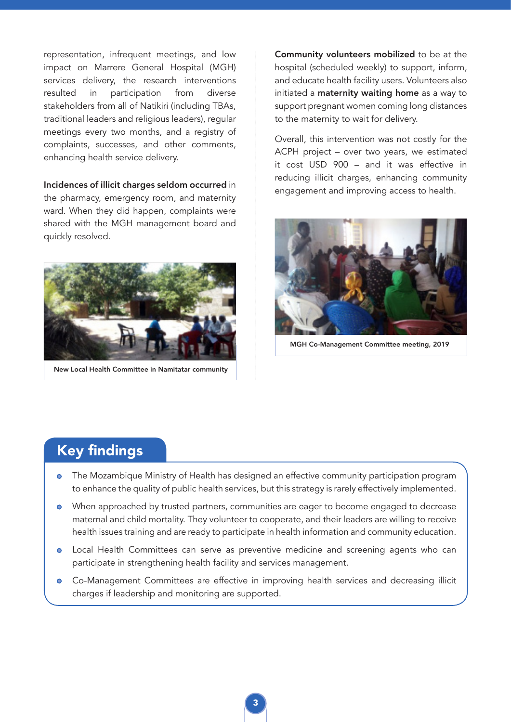representation, infrequent meetings, and low impact on Marrere General Hospital (MGH) services delivery, the research interventions resulted in participation from diverse stakeholders from all of Natikiri (including TBAs, traditional leaders and religious leaders), regular meetings every two months, and a registry of complaints, successes, and other comments, enhancing health service delivery.

#### Incidences of illicit charges seldom occurred in the pharmacy, emergency room, and maternity ward. When they did happen, complaints were shared with the MGH management board and quickly resolved.



New Local Health Committee in Namitatar community

Community volunteers mobilized to be at the hospital (scheduled weekly) to support, inform, and educate health facility users. Volunteers also initiated a maternity waiting home as a way to support pregnant women coming long distances to the maternity to wait for delivery.

Overall, this intervention was not costly for the ACPH project – over two years, we estimated it cost USD 900 – and it was effective in reducing illicit charges, enhancing community engagement and improving access to health.



MGH Co-Management Committee meeting, 2019

### Key findings

- **o** The Mozambique Ministry of Health has designed an effective community participation program to enhance the quality of public health services, but this strategy is rarely effectively implemented.
- When approached by trusted partners, communities are eager to become engaged to decrease maternal and child mortality. They volunteer to cooperate, and their leaders are willing to receive health issues training and are ready to participate in health information and community education.
- Local Health Committees can serve as preventive medicine and screening agents who can  $\bullet$ participate in strengthening health facility and services management.
- Co-Management Committees are effective in improving health services and decreasing illicit  $\bullet$ charges if leadership and monitoring are supported.